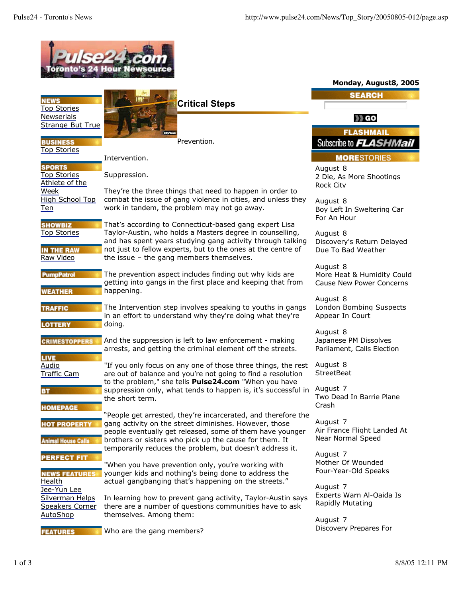| oronto's 24 Hour News                                                  |                                                                                                                                                                                                                                                                                                 |                                                                           |
|------------------------------------------------------------------------|-------------------------------------------------------------------------------------------------------------------------------------------------------------------------------------------------------------------------------------------------------------------------------------------------|---------------------------------------------------------------------------|
|                                                                        |                                                                                                                                                                                                                                                                                                 | Monday, August8, 2005                                                     |
| <b>NEWS</b><br><b>Top Stories</b>                                      | Critical Steps                                                                                                                                                                                                                                                                                  | <b>SEARCH</b>                                                             |
| Newserials<br><b>Strange But True</b>                                  |                                                                                                                                                                                                                                                                                                 | 33 GO                                                                     |
| <b>BUSINESS</b>                                                        | Prevention.                                                                                                                                                                                                                                                                                     | <b>FLASHMAIL</b><br>Subscribe to <i>FLASHMail</i>                         |
| <b>Top Stories</b>                                                     | Intervention.                                                                                                                                                                                                                                                                                   | <b>MORESTORIES</b>                                                        |
| <b>SPORTS</b><br><b>Top Stories</b><br>Athlete of the                  | Suppression.                                                                                                                                                                                                                                                                                    | August 8<br>2 Die, As More Shootings<br><b>Rock City</b>                  |
| Week<br>High School Top<br><u>Ten</u>                                  | They're the three things that need to happen in order to<br>combat the issue of gang violence in cities, and unless they<br>work in tandem, the problem may not go away.                                                                                                                        | August 8<br>Boy Left In Sweltering Car<br>For An Hour                     |
| <b>SHOWBIZ</b><br><b>Top Stories</b><br><b>IN THE RAW</b><br>Raw Video | That's according to Connecticut-based gang expert Lisa<br>Taylor-Austin, who holds a Masters degree in counselling,<br>and has spent years studying gang activity through talking<br>not just to fellow experts, but to the ones at the centre of<br>the issue $-$ the gang members themselves. | August 8<br>Discovery's Return Delayed<br>Due To Bad Weather              |
| <b>PumpPatrol</b><br><b>WEATHER</b>                                    | The prevention aspect includes finding out why kids are<br>getting into gangs in the first place and keeping that from<br>happening.                                                                                                                                                            | August 8<br>More Heat & Humidity Could<br><b>Cause New Power Concerns</b> |
| <b>TRAFFIC</b><br><b>LOTTERY</b>                                       | The Intervention step involves speaking to youths in gangs<br>in an effort to understand why they're doing what they're<br>doing.                                                                                                                                                               | August 8<br>London Bombing Suspects<br>Appear In Court                    |
| <b>CRIMESTOPPERS</b><br><b>LIVE</b>                                    | And the suppression is left to law enforcement - making<br>arrests, and getting the criminal element off the streets.                                                                                                                                                                           | August 8<br>Japanese PM Dissolves<br>Parliament, Calls Election           |
| Audio<br><b>Traffic Cam</b>                                            | "If you only focus on any one of those three things, the rest<br>are out of balance and you're not going to find a resolution                                                                                                                                                                   | August 8<br><b>StreetBeat</b>                                             |
| <b>BT</b><br><b>HOMEPAGE</b>                                           | to the problem," she tells <b>Pulse24.com</b> "When you have<br>suppression only, what tends to happen is, it's successful in<br>the short term.                                                                                                                                                | August 7<br>Two Dead In Barrie Plane<br>Crash                             |
| <b>HOT PROPERTY</b><br><b>Animal House Calls</b>                       | "People get arrested, they're incarcerated, and therefore the<br>gang activity on the street diminishes. However, those<br>people eventually get released, some of them have younger<br>brothers or sisters who pick up the cause for them. It                                                  | August 7<br>Air France Flight Landed At<br>Near Normal Speed              |
| <b>PERFECT FIT</b><br><b>NEWS FEATURES</b>                             | temporarily reduces the problem, but doesn't address it.<br>"When you have prevention only, you're working with<br>younger kids and nothing's being done to address the                                                                                                                         | August 7<br>Mother Of Wounded<br>Four-Year-Old Speaks                     |
| Health<br>Jee-Yun Lee<br>Silverman Helps<br><b>Speakers Corner</b>     | actual gangbanging that's happening on the streets."<br>In learning how to prevent gang activity, Taylor-Austin says<br>there are a number of questions communities have to ask                                                                                                                 | August 7<br>Experts Warn Al-Qaida Is<br>Rapidly Mutating                  |
| AutoShop<br><b>FEATURES</b>                                            | themselves. Among them:<br>Who are the gang members?                                                                                                                                                                                                                                            | August 7<br>Discovery Prepares For                                        |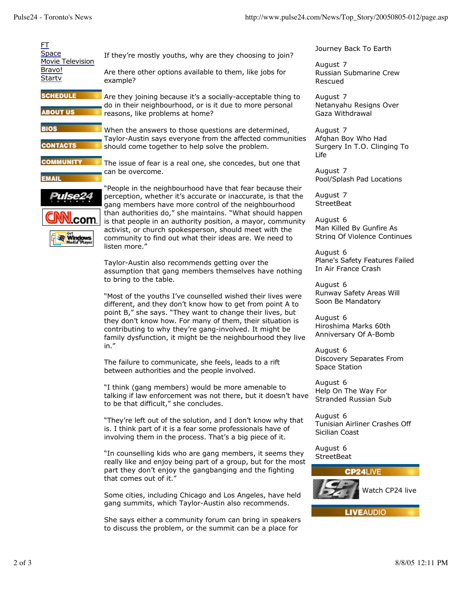| <u>ET</u><br>Space<br>Movie Television<br>Bravo!<br><b>Starty</b> | If they're mostly youths, why are they choosing to join?<br>Are there other options available to them, like jobs for<br>example?                                                                                                                                                                                                                                                                                                                                                                                                    | Journey<br>August<br>Russian<br><b>Rescue</b> |
|-------------------------------------------------------------------|-------------------------------------------------------------------------------------------------------------------------------------------------------------------------------------------------------------------------------------------------------------------------------------------------------------------------------------------------------------------------------------------------------------------------------------------------------------------------------------------------------------------------------------|-----------------------------------------------|
| <b>SCHEDULE</b><br><b>ABOUT US</b>                                | Are they joining because it's a socially-acceptable thing to<br>do in their neighbourhood, or is it due to more personal<br>reasons, like problems at home?                                                                                                                                                                                                                                                                                                                                                                         | August<br>Netanya<br>Gaza W                   |
| <b>BIOS</b><br><b>CONTACTS</b>                                    | When the answers to those questions are determined,<br>Taylor-Austin says everyone from the affected communities<br>should come together to help solve the problem.                                                                                                                                                                                                                                                                                                                                                                 | August<br>Afghan<br>Surgery<br>Life           |
| <b>COMMUNITY</b><br><b>EMAIL</b><br>Windows                       | The issue of fear is a real one, she concedes, but one that<br>can be overcome.<br>"People in the neighbourhood have that fear because their<br>perception, whether it's accurate or inaccurate, is that the<br>gang members have more control of the neighbourhood<br>than authorities do," she maintains. "What should happen<br>is that people in an authority position, a mayor, community<br>activist, or church spokesperson, should meet with the<br>community to find out what their ideas are. We need to<br>listen more." |                                               |
|                                                                   |                                                                                                                                                                                                                                                                                                                                                                                                                                                                                                                                     |                                               |
|                                                                   | "Most of the youths I've counselled wished their lives were<br>different, and they don't know how to get from point A to<br>point B," she says. "They want to change their lives, but<br>they don't know how. For many of them, their situation is<br>contributing to why they're gang-involved. It might be<br>family dysfunction, it might be the neighbourhood they live                                                                                                                                                         |                                               |
|                                                                   | in."<br>The failure to communicate, she feels, leads to a rift<br>between authorities and the people involved.                                                                                                                                                                                                                                                                                                                                                                                                                      | August<br>Discove<br>Space S                  |
|                                                                   | "I think (gang members) would be more amenable to<br>talking if law enforcement was not there, but it doesn't have<br>to be that difficult," she concludes.                                                                                                                                                                                                                                                                                                                                                                         | August<br>Help Or<br>Strande                  |
|                                                                   | "They're left out of the solution, and I don't know why that<br>is. I think part of it is a fear some professionals have of<br>involving them in the process. That's a big piece of it.                                                                                                                                                                                                                                                                                                                                             | August<br>Tunisiar<br>Sicilian                |
|                                                                   | "In counselling kids who are gang members, it seems they<br>really like and enjoy being part of a group, but for the most<br>part they don't enjoy the gangbanging and the fighting<br>that comes out of it."                                                                                                                                                                                                                                                                                                                       | August<br><b>StreetB</b>                      |
|                                                                   | Some cities, including Chicago and Los Angeles, have held<br>gang summits, which Taylor-Austin also recommends.                                                                                                                                                                                                                                                                                                                                                                                                                     |                                               |

She says either a community forum can bring in speakers to discuss the problem, or the summit can be a place for

y Back To Earth

 $\overline{7}$ Submarine Crew Rescued

 $\overline{7}$ ahu Resigns Over /ithdrawal

 $\overline{7}$ Boy Who Had y In T.O. Clinging To

 $\overline{7}$ Iash Pad Locations

 $\overline{7}$ Seat

 $6 \overline{6}$ led By Gunfire As Of Violence Continues

6 Safety Features Failed **Irance Crash** 

6 **Safety Areas Will** e Mandatory

6 ma Marks 60th sary Of A-Bomb

6 ery Separates From Station

 $6$ n The Way For ed Russian Sub

 $6 \overline{6}$ n Airliner Crashes Off Coast

 $6 \overline{6}$ Seat



**LIVEAUDIO**